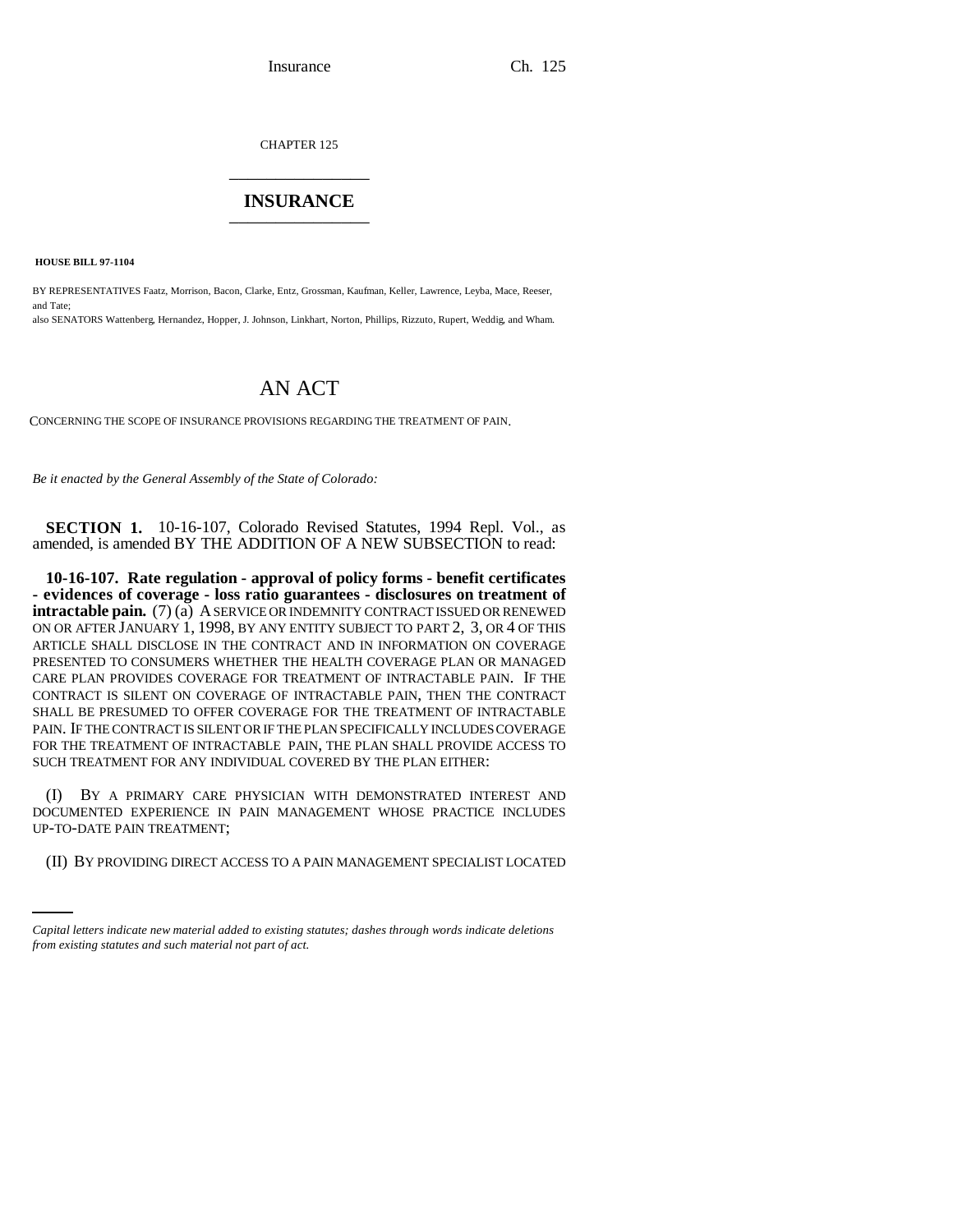CHAPTER 125 \_\_\_\_\_\_\_\_\_\_\_\_\_\_\_

## **INSURANCE** \_\_\_\_\_\_\_\_\_\_\_\_\_\_\_

 **HOUSE BILL 97-1104**

BY REPRESENTATIVES Faatz, Morrison, Bacon, Clarke, Entz, Grossman, Kaufman, Keller, Lawrence, Leyba, Mace, Reeser, and Tate; also SENATORS Wattenberg, Hernandez, Hopper, J. Johnson, Linkhart, Norton, Phillips, Rizzuto, Rupert, Weddig, and Wham.

## AN ACT

CONCERNING THE SCOPE OF INSURANCE PROVISIONS REGARDING THE TREATMENT OF PAIN.

*Be it enacted by the General Assembly of the State of Colorado:*

**SECTION 1.** 10-16-107, Colorado Revised Statutes, 1994 Repl. Vol., as amended, is amended BY THE ADDITION OF A NEW SUBSECTION to read:

**10-16-107. Rate regulation - approval of policy forms - benefit certificates - evidences of coverage - loss ratio guarantees - disclosures on treatment of intractable pain.** (7) (a) A SERVICE OR INDEMNITY CONTRACT ISSUED OR RENEWED ON OR AFTER JANUARY 1, 1998, BY ANY ENTITY SUBJECT TO PART 2, 3, OR 4 OF THIS ARTICLE SHALL DISCLOSE IN THE CONTRACT AND IN INFORMATION ON COVERAGE PRESENTED TO CONSUMERS WHETHER THE HEALTH COVERAGE PLAN OR MANAGED CARE PLAN PROVIDES COVERAGE FOR TREATMENT OF INTRACTABLE PAIN. IF THE CONTRACT IS SILENT ON COVERAGE OF INTRACTABLE PAIN, THEN THE CONTRACT SHALL BE PRESUMED TO OFFER COVERAGE FOR THE TREATMENT OF INTRACTABLE PAIN. IF THE CONTRACT IS SILENT OR IF THE PLAN SPECIFICALLY INCLUDES COVERAGE FOR THE TREATMENT OF INTRACTABLE PAIN, THE PLAN SHALL PROVIDE ACCESS TO SUCH TREATMENT FOR ANY INDIVIDUAL COVERED BY THE PLAN EITHER:

UP-TO-DATE PAIN TREATMENT; (I) BY A PRIMARY CARE PHYSICIAN WITH DEMONSTRATED INTEREST AND DOCUMENTED EXPERIENCE IN PAIN MANAGEMENT WHOSE PRACTICE INCLUDES

(II) BY PROVIDING DIRECT ACCESS TO A PAIN MANAGEMENT SPECIALIST LOCATED

*Capital letters indicate new material added to existing statutes; dashes through words indicate deletions from existing statutes and such material not part of act.*